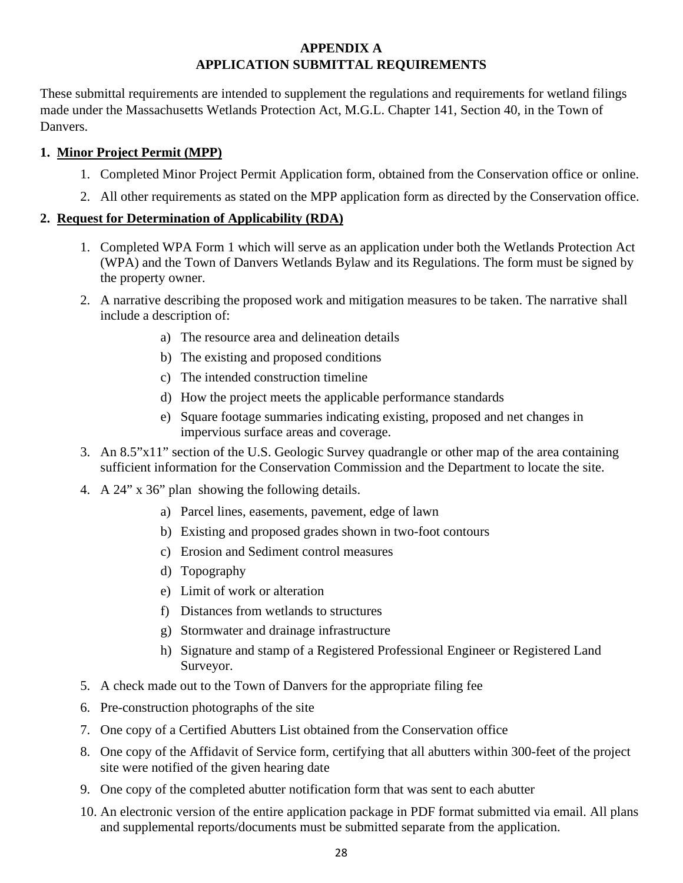# **APPENDIX A APPLICATION SUBMITTAL REQUIREMENTS**

These submittal requirements are intended to supplement the regulations and requirements for wetland filings made under the Massachusetts Wetlands Protection Act, M.G.L. Chapter 141, Section 40, in the Town of Danvers.

## **1. Minor Project Permit (MPP)**

- 1. Completed Minor Project Permit Application form, obtained from the Conservation office or online.
- 2. All other requirements as stated on the MPP application form as directed by the Conservation office.

#### **2. Request for Determination of Applicability (RDA)**

- 1. Completed WPA Form 1 which will serve as an application under both the Wetlands Protection Act (WPA) and the Town of Danvers Wetlands Bylaw and its Regulations. The form must be signed by the property owner.
- 2. A narrative describing the proposed work and mitigation measures to be taken. The narrative shall include a description of:
	- a) The resource area and delineation details
	- b) The existing and proposed conditions
	- c) The intended construction timeline
	- d) How the project meets the applicable performance standards
	- e) Square footage summaries indicating existing, proposed and net changes in impervious surface areas and coverage.
- 3. An 8.5"x11" section of the U.S. Geologic Survey quadrangle or other map of the area containing sufficient information for the Conservation Commission and the Department to locate the site.
- 4. A 24" x 36" plan showing the following details.
	- a) Parcel lines, easements, pavement, edge of lawn
	- b) Existing and proposed grades shown in two-foot contours
	- c) Erosion and Sediment control measures
	- d) Topography
	- e) Limit of work or alteration
	- f) Distances from wetlands to structures
	- g) Stormwater and drainage infrastructure
	- h) Signature and stamp of a Registered Professional Engineer or Registered Land Surveyor.
- 5. A check made out to the Town of Danvers for the appropriate filing fee
- 6. Pre-construction photographs of the site
- 7. One copy of a Certified Abutters List obtained from the Conservation office
- 8. One copy of the Affidavit of Service form, certifying that all abutters within 300-feet of the project site were notified of the given hearing date
- 9. One copy of the completed abutter notification form that was sent to each abutter
- 10. An electronic version of the entire application package in PDF format submitted via email. All plans and supplemental reports/documents must be submitted separate from the application.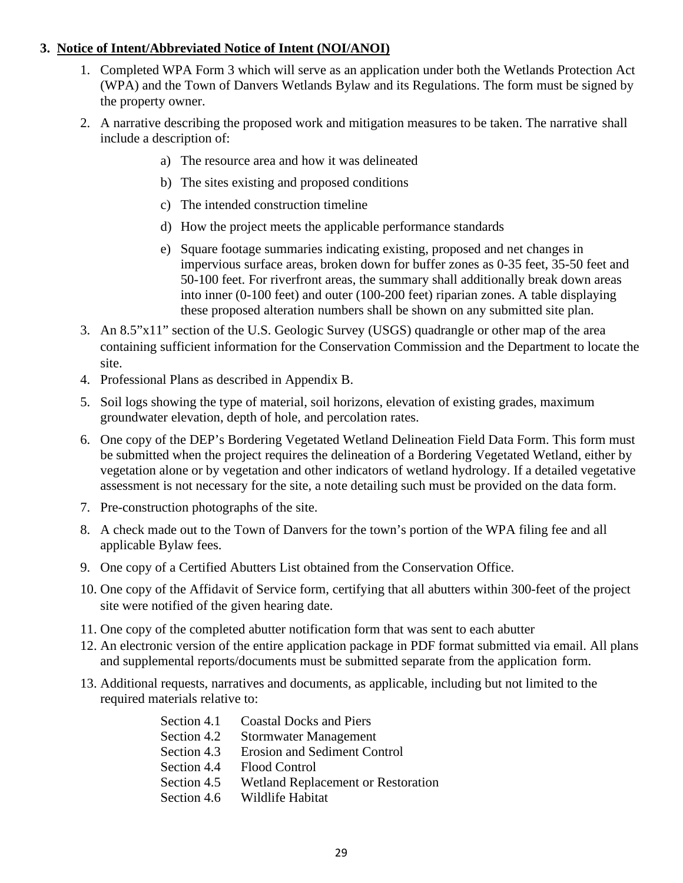### **3. Notice of Intent/Abbreviated Notice of Intent (NOI/ANOI)**

- 1. Completed WPA Form 3 which will serve as an application under both the Wetlands Protection Act (WPA) and the Town of Danvers Wetlands Bylaw and its Regulations. The form must be signed by the property owner.
- 2. A narrative describing the proposed work and mitigation measures to be taken. The narrative shall include a description of:
	- a) The resource area and how it was delineated
	- b) The sites existing and proposed conditions
	- c) The intended construction timeline
	- d) How the project meets the applicable performance standards
	- e) Square footage summaries indicating existing, proposed and net changes in impervious surface areas, broken down for buffer zones as 0-35 feet, 35-50 feet and 50-100 feet. For riverfront areas, the summary shall additionally break down areas into inner (0-100 feet) and outer (100-200 feet) riparian zones. A table displaying these proposed alteration numbers shall be shown on any submitted site plan.
- 3. An 8.5"x11" section of the U.S. Geologic Survey (USGS) quadrangle or other map of the area containing sufficient information for the Conservation Commission and the Department to locate the site.
- 4. Professional Plans as described in Appendix B.
- 5. Soil logs showing the type of material, soil horizons, elevation of existing grades, maximum groundwater elevation, depth of hole, and percolation rates.
- 6. One copy of the DEP's Bordering Vegetated Wetland Delineation Field Data Form. This form must be submitted when the project requires the delineation of a Bordering Vegetated Wetland, either by vegetation alone or by vegetation and other indicators of wetland hydrology. If a detailed vegetative assessment is not necessary for the site, a note detailing such must be provided on the data form.
- 7. Pre-construction photographs of the site.
- 8. A check made out to the Town of Danvers for the town's portion of the WPA filing fee and all applicable Bylaw fees.
- 9. One copy of a Certified Abutters List obtained from the Conservation Office.
- 10. One copy of the Affidavit of Service form, certifying that all abutters within 300-feet of the project site were notified of the given hearing date.
- 11. One copy of the completed abutter notification form that was sent to each abutter
- 12. An electronic version of the entire application package in PDF format submitted via email. All plans and supplemental reports/documents must be submitted separate from the application form.
- 13. Additional requests, narratives and documents, as applicable, including but not limited to the required materials relative to:

| Section 4.1 | <b>Coastal Docks and Piers</b>      |
|-------------|-------------------------------------|
| Section 4.2 | Stormwater Management               |
| Section 4.3 | <b>Erosion and Sediment Control</b> |
| Section 4.4 | Flood Control                       |
| Section 4.5 | Wetland Replacement or Restoration  |
| Section 4.6 | Wildlife Habitat                    |